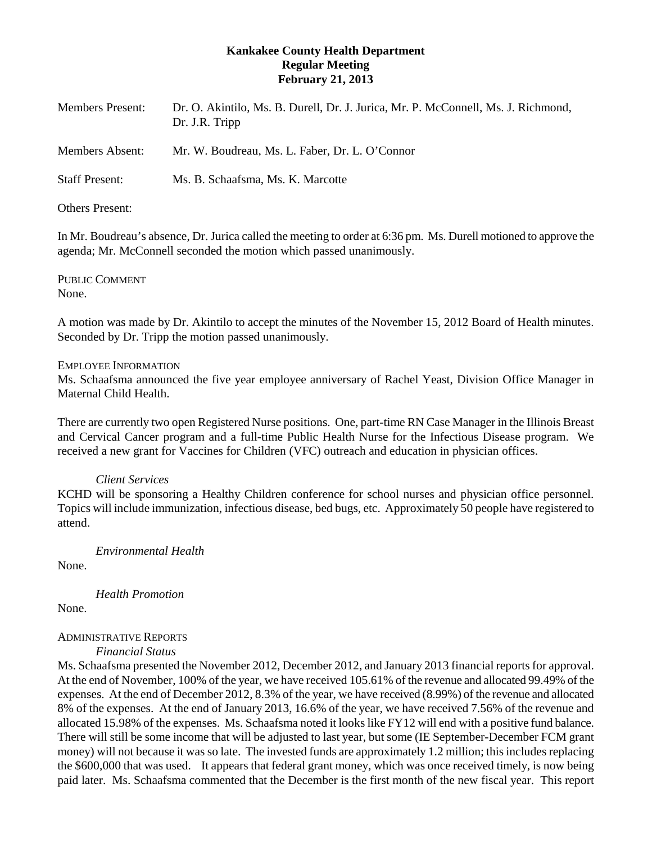# **Kankakee County Health Department Regular Meeting February 21, 2013**

| Dr. O. Akintilo, Ms. B. Durell, Dr. J. Jurica, Mr. P. McConnell, Ms. J. Richmond, |
|-----------------------------------------------------------------------------------|
| Mr. W. Boudreau, Ms. L. Faber, Dr. L. O'Connor                                    |
| Ms. B. Schaafsma, Ms. K. Marcotte                                                 |
|                                                                                   |

Others Present:

In Mr. Boudreau's absence, Dr. Jurica called the meeting to order at 6:36 pm. Ms. Durell motioned to approve the agenda; Mr. McConnell seconded the motion which passed unanimously.

PUBLIC COMMENT None.

A motion was made by Dr. Akintilo to accept the minutes of the November 15, 2012 Board of Health minutes. Seconded by Dr. Tripp the motion passed unanimously.

EMPLOYEE INFORMATION

Ms. Schaafsma announced the five year employee anniversary of Rachel Yeast, Division Office Manager in Maternal Child Health.

There are currently two open Registered Nurse positions. One, part-time RN Case Manager in the Illinois Breast and Cervical Cancer program and a full-time Public Health Nurse for the Infectious Disease program. We received a new grant for Vaccines for Children (VFC) outreach and education in physician offices.

## *Client Services*

KCHD will be sponsoring a Healthy Children conference for school nurses and physician office personnel. Topics will include immunization, infectious disease, bed bugs, etc. Approximately 50 people have registered to attend.

*Environmental Health*

None.

*Health Promotion*

None.

## ADMINISTRATIVE REPORTS

*Financial Status*

Ms. Schaafsma presented the November 2012, December 2012, and January 2013 financial reports for approval. At the end of November, 100% of the year, we have received 105.61% of the revenue and allocated 99.49% of the expenses. At the end of December 2012, 8.3% of the year, we have received (8.99%) of the revenue and allocated 8% of the expenses. At the end of January 2013, 16.6% of the year, we have received 7.56% of the revenue and allocated 15.98% of the expenses. Ms. Schaafsma noted it looks like FY12 will end with a positive fund balance. There will still be some income that will be adjusted to last year, but some (IE September-December FCM grant money) will not because it was so late. The invested funds are approximately 1.2 million; this includes replacing the \$600,000 that was used. It appears that federal grant money, which was once received timely, is now being paid later. Ms. Schaafsma commented that the December is the first month of the new fiscal year. This report